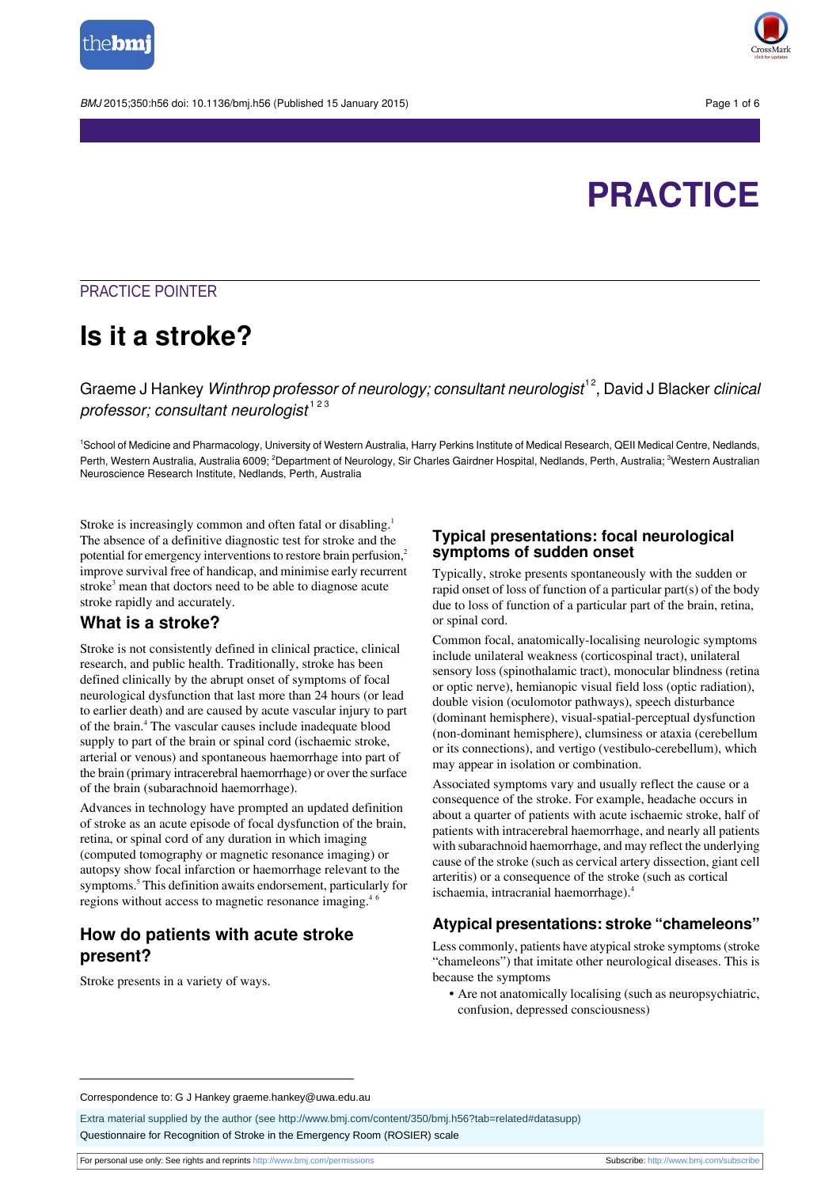

BMJ 2015;350:h56 doi: 10.1136/bmj.h56 (Published 15 January 2015) Page 1 of 6



# **PRACTICE**

### PRACTICE POINTER

# **Is it a stroke?**

Graeme J Hankey *Winthrop professor of neurology; consultant neurologist<sup>12</sup>, David J Blacker clinica* professor; consultant neurologist $123$ 

<sup>1</sup>School of Medicine and Pharmacology, University of Western Australia, Harry Perkins Institute of Medical Research, QEII Medical Centre, Nedlands, Perth, Western Australia, Australia 6009; <sup>2</sup>Department of Neurology, Sir Charles Gairdner Hospital, Nedlands, Perth, Australia; <sup>3</sup>Western Australian Neuroscience Research Institute, Nedlands, Perth, Australia

Stroke is increasingly common and often fatal or disabling.<sup>1</sup> The absence of a definitive diagnostic test for stroke and the potential for emergency interventions to restore brain perfusion,<sup>2</sup> improve survival free of handicap, and minimise early recurrent stroke<sup>3</sup> mean that doctors need to be able to diagnose acute stroke rapidly and accurately.

#### **What is a stroke?**

Stroke is not consistently defined in clinical practice, clinical research, and public health. Traditionally, stroke has been defined clinically by the abrupt onset of symptoms of focal neurological dysfunction that last more than 24 hours (or lead to earlier death) and are caused by acute vascular injury to part of the brain.<sup>4</sup> The vascular causes include inadequate blood supply to part of the brain or spinal cord (ischaemic stroke, arterial or venous) and spontaneous haemorrhage into part of the brain (primary intracerebral haemorrhage) or over the surface of the brain (subarachnoid haemorrhage).

Advances in technology have prompted an updated definition of stroke as an acute episode of focal dysfunction of the brain, retina, or spinal cord of any duration in which imaging (computed tomography or magnetic resonance imaging) or autopsy show focal infarction or haemorrhage relevant to the symptoms.<sup>5</sup> This definition awaits endorsement, particularly for regions without access to magnetic resonance imaging.<sup>4</sup>

#### **How do patients with acute stroke present?**

Stroke presents in a variety of ways.

#### **Typical presentations: focal neurological symptoms of sudden onset**

Typically, stroke presents spontaneously with the sudden or rapid onset of loss of function of a particular part(s) of the body due to loss of function of a particular part of the brain, retina, or spinal cord.

Common focal, anatomically-localising neurologic symptoms include unilateral weakness (corticospinal tract), unilateral sensory loss (spinothalamic tract), monocular blindness (retina or optic nerve), hemianopic visual field loss (optic radiation), double vision (oculomotor pathways), speech disturbance (dominant hemisphere), visual-spatial-perceptual dysfunction (non-dominant hemisphere), clumsiness or ataxia (cerebellum or its connections), and vertigo (vestibulo-cerebellum), which may appear in isolation or combination.

Associated symptoms vary and usually reflect the cause or a consequence of the stroke. For example, headache occurs in about a quarter of patients with acute ischaemic stroke, half of patients with intracerebral haemorrhage, and nearly all patients with subarachnoid haemorrhage, and may reflect the underlying cause of the stroke (such as cervical artery dissection, giant cell arteritis) or a consequence of the stroke (such as cortical ischaemia, intracranial haemorrhage).<sup>4</sup>

#### **Atypical presentations: stroke "chameleons"**

Less commonly, patients have atypical stroke symptoms (stroke "chameleons") that imitate other neurological diseases. This is because the symptoms

**•** Are not anatomically localising (such as neuropsychiatric, confusion, depressed consciousness)

Correspondence to: G J Hankey graeme.hankey@uwa.edu.au

Extra material supplied by the author (see <http://www.bmj.com/content/350/bmj.h56?tab=related#datasupp>)

Questionnaire for Recognition of Stroke in the Emergency Room (ROSIER) scale

For personal use only: See rights and reprints<http://www.bmj.com/permissions> Subscribe: <http://www.bmj.com/subscribe>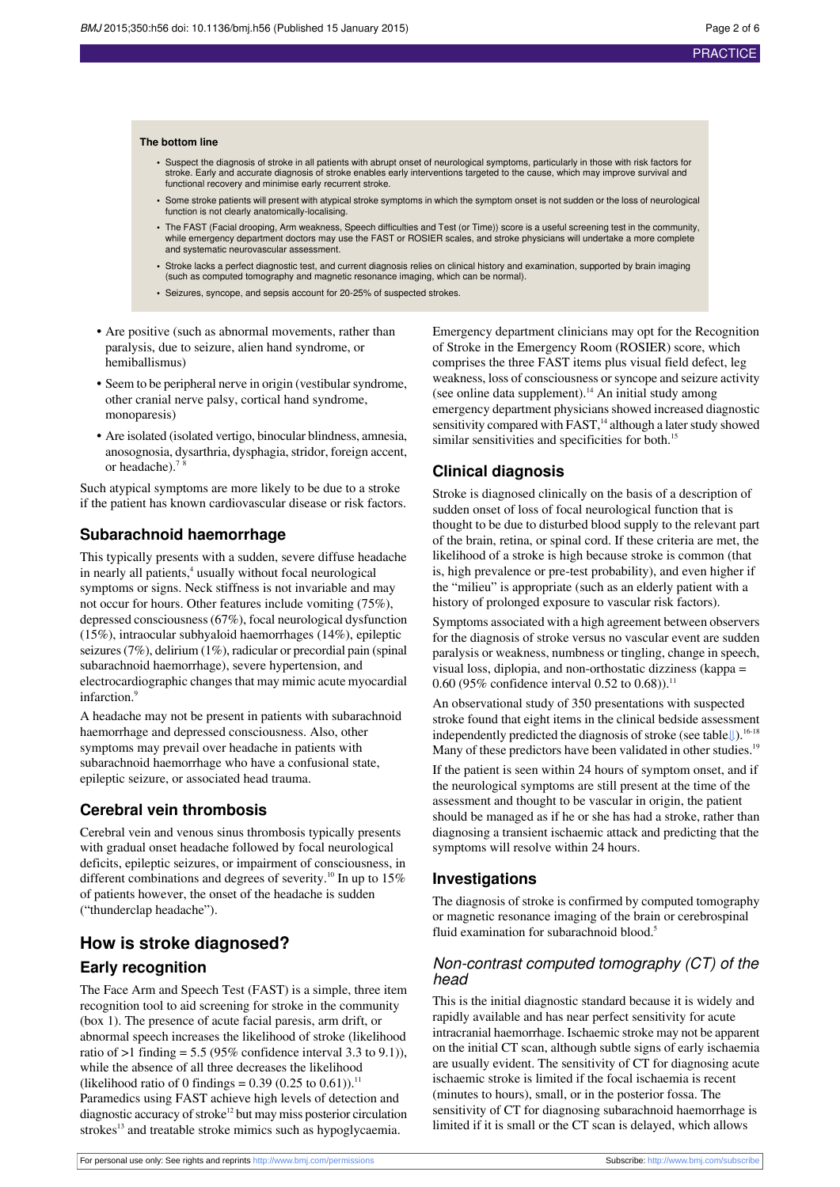#### **The bottom line**

- **•** Suspect the diagnosis of stroke in all patients with abrupt onset of neurological symptoms, particularly in those with risk factors for stroke. Early and accurate diagnosis of stroke enables early interventions targeted to the cause, which may improve survival and functional recovery and minimise early recurrent stroke.
- **•** Some stroke patients will present with atypical stroke symptoms in which the symptom onset is not sudden or the loss of neurological function is not clearly anatomically-localising.
- **•** The FAST (Facial drooping, Arm weakness, Speech difficulties and Test (or Time)) score is a useful screening test in the community, while emergency department doctors may use the FAST or ROSIER scales, and stroke physicians will undertake a more complete and systematic neurovascular assessment.
- **•** Stroke lacks a perfect diagnostic test, and current diagnosis relies on clinical history and examination, supported by brain imaging (such as computed tomography and magnetic resonance imaging, which can be normal).
- **•** Seizures, syncope, and sepsis account for 20-25% of suspected strokes.
- **•** Are positive (such as abnormal movements, rather than paralysis, due to seizure, alien hand syndrome, or hemiballismus)
- Seem to be peripheral nerve in origin (vestibular syndrome, other cranial nerve palsy, cortical hand syndrome, monoparesis)
- **•** Are isolated (isolated vertigo, binocular blindness, amnesia, anosognosia, dysarthria, dysphagia, stridor, foreign accent, or headache). $<sup>7</sup>$ </sup>

Such atypical symptoms are more likely to be due to a stroke if the patient has known cardiovascular disease or risk factors.

#### **Subarachnoid haemorrhage**

This typically presents with a sudden, severe diffuse headache in nearly all patients,<sup>4</sup> usually without focal neurological symptoms or signs. Neck stiffness is not invariable and may not occur for hours. Other features include vomiting (75%), depressed consciousness(67%), focal neurological dysfunction (15%), intraocular subhyaloid haemorrhages (14%), epileptic seizures(7%), delirium (1%), radicular or precordial pain (spinal subarachnoid haemorrhage), severe hypertension, and electrocardiographic changes that may mimic acute myocardial infarction.<sup>9</sup>

A headache may not be present in patients with subarachnoid haemorrhage and depressed consciousness. Also, other symptoms may prevail over headache in patients with subarachnoid haemorrhage who have a confusional state, epileptic seizure, or associated head trauma.

#### **Cerebral vein thrombosis**

Cerebral vein and venous sinus thrombosis typically presents with gradual onset headache followed by focal neurological deficits, epileptic seizures, or impairment of consciousness, in different combinations and degrees of severity.<sup>10</sup> In up to 15% of patients however, the onset of the headache is sudden ("thunderclap headache").

#### **How is stroke diagnosed?**

#### **Early recognition**

The Face Arm and Speech Test (FAST) is a simple, three item recognition tool to aid screening for stroke in the community (box 1). The presence of acute facial paresis, arm drift, or abnormal speech increases the likelihood of stroke (likelihood ratio of  $>1$  finding = 5.5 (95% confidence interval 3.3 to 9.1)), while the absence of all three decreases the likelihood (likelihood ratio of 0 findings =  $0.39$  (0.25 to 0.61)).<sup>11</sup> Paramedics using FAST achieve high levels of detection and diagnostic accuracy of stroke<sup>12</sup> but may miss posterior circulation strokes<sup>13</sup> and treatable stroke mimics such as hypoglycaemia.

Emergency department clinicians may opt for the Recognition of Stroke in the Emergency Room (ROSIER) score, which comprises the three FAST items plus visual field defect, leg weakness, loss of consciousness or syncope and seizure activity (see online data supplement).<sup>14</sup> An initial study among emergency department physicians showed increased diagnostic sensitivity compared with FAST,<sup>14</sup> although a later study showed similar sensitivities and specificities for both.<sup>15</sup>

#### **Clinical diagnosis**

Stroke is diagnosed clinically on the basis of a description of sudden onset of loss of focal neurological function that is thought to be due to disturbed blood supply to the relevant part of the brain, retina, or spinal cord. If these criteria are met, the likelihood of a stroke is high because stroke is common (that is, high prevalence or pre-test probability), and even higher if the "milieu" is appropriate (such as an elderly patient with a history of prolonged exposure to vascular risk factors).

Symptoms associated with a high agreement between observers for the diagnosis of stroke versus no vascular event are sudden paralysis or weakness, numbness or tingling, change in speech, visual loss, diplopia, and non-orthostatic dizziness (kappa = 0.60 (95% confidence interval 0.52 to 0.68)).<sup>11</sup>

An observational study of 350 presentations with suspected stroke found that eight items in the clinical bedside assessment independently predicted the diagnosis of stroke (see tabl[e⇓](#page-5-0)).16-18 Many of these predictors have been validated in other studies.<sup>19</sup>

If the patient is seen within 24 hours of symptom onset, and if the neurological symptoms are still present at the time of the assessment and thought to be vascular in origin, the patient should be managed as if he or she has had a stroke, rather than diagnosing a transient ischaemic attack and predicting that the symptoms will resolve within 24 hours.

#### **Investigations**

The diagnosis of stroke is confirmed by computed tomography or magnetic resonance imaging of the brain or cerebrospinal fluid examination for subarachnoid blood.<sup>5</sup>

#### Non-contrast computed tomography (CT) of the head

This is the initial diagnostic standard because it is widely and rapidly available and has near perfect sensitivity for acute intracranial haemorrhage. Ischaemic stroke may not be apparent on the initial CT scan, although subtle signs of early ischaemia are usually evident. The sensitivity of CT for diagnosing acute ischaemic stroke is limited if the focal ischaemia is recent (minutes to hours), small, or in the posterior fossa. The sensitivity of CT for diagnosing subarachnoid haemorrhage is limited if it is small or the CT scan is delayed, which allows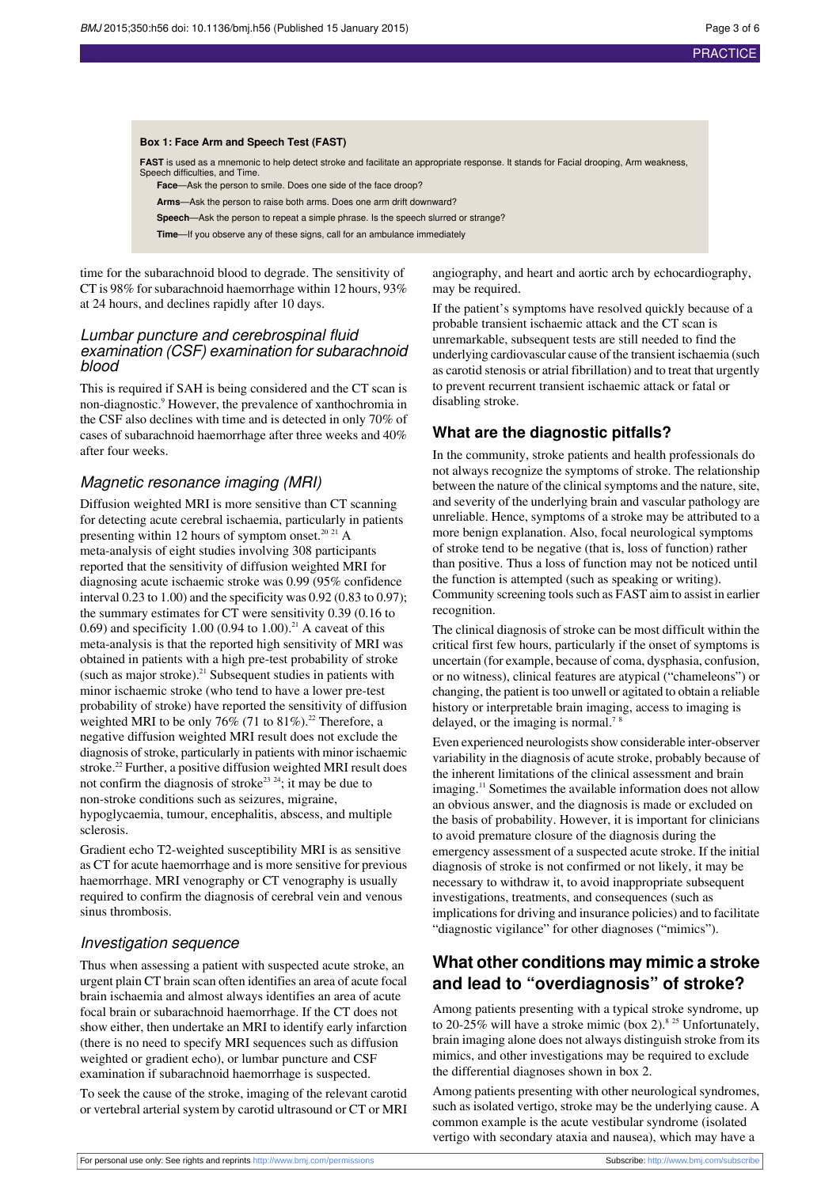#### **Box 1: Face Arm and Speech Test (FAST)**

FAST is used as a mnemonic to help detect stroke and facilitate an appropriate response. It stands for Facial drooping, Arm weakness, Speech difficulties, and Time. **Face**—Ask the person to smile. Does one side of the face droop? **Arms**—Ask the person to raise both arms. Does one arm drift downward?

**Speech**—Ask the person to repeat a simple phrase. Is the speech slurred or strange? **Time**—If you observe any of these signs, call for an ambulance immediately

time for the subarachnoid blood to degrade. The sensitivity of CT is 98% for subarachnoid haemorrhage within 12 hours,  $93\%$ at 24 hours, and declines rapidly after 10 days.

#### Lumbar puncture and cerebrospinal fluid examination (CSF) examination for subarachnoid blood

This is required if SAH is being considered and the CT scan is non-diagnostic.<sup>9</sup> However, the prevalence of xanthochromia in the CSF also declines with time and is detected in only 70% of cases of subarachnoid haemorrhage after three weeks and 40% after four weeks.

#### Magnetic resonance imaging (MRI)

Diffusion weighted MRI is more sensitive than CT scanning for detecting acute cerebral ischaemia, particularly in patients presenting within 12 hours of symptom onset.<sup>20 21</sup> A meta-analysis of eight studies involving 308 participants reported that the sensitivity of diffusion weighted MRI for diagnosing acute ischaemic stroke was 0.99 (95% confidence interval  $0.23$  to  $1.00$ ) and the specificity was  $0.92$   $(0.83$  to  $0.97)$ ; the summary estimates for CT were sensitivity 0.39 (0.16 to 0.69) and specificity 1.00 (0.94 to 1.00).<sup>21</sup> A caveat of this meta-analysis is that the reported high sensitivity of MRI was obtained in patients with a high pre-test probability of stroke (such as major stroke). $^{21}$  Subsequent studies in patients with minor ischaemic stroke (who tend to have a lower pre-test probability of stroke) have reported the sensitivity of diffusion weighted MRI to be only 76% (71 to 81%).<sup>22</sup> Therefore, a negative diffusion weighted MRI result does not exclude the diagnosis of stroke, particularly in patients with minor ischaemic stroke.<sup>22</sup> Further, a positive diffusion weighted MRI result does not confirm the diagnosis of stroke<sup>23</sup> <sup>24</sup>; it may be due to non-stroke conditions such as seizures, migraine, hypoglycaemia, tumour, encephalitis, abscess, and multiple sclerosis.

Gradient echo T2-weighted susceptibility MRI is as sensitive as CT for acute haemorrhage and is more sensitive for previous haemorrhage. MRI venography or CT venography is usually required to confirm the diagnosis of cerebral vein and venous sinus thrombosis.

#### Investigation sequence

Thus when assessing a patient with suspected acute stroke, an urgent plain CT brain scan often identifies an area of acute focal brain ischaemia and almost always identifies an area of acute focal brain or subarachnoid haemorrhage. If the CT does not show either, then undertake an MRI to identify early infarction (there is no need to specify MRI sequences such as diffusion weighted or gradient echo), or lumbar puncture and CSF examination if subarachnoid haemorrhage is suspected.

To seek the cause of the stroke, imaging of the relevant carotid or vertebral arterial system by carotid ultrasound or CT or MRI angiography, and heart and aortic arch by echocardiography, may be required.

If the patient's symptoms have resolved quickly because of a probable transient ischaemic attack and the CT scan is unremarkable, subsequent tests are still needed to find the underlying cardiovascular cause of the transient ischaemia (such as carotid stenosis or atrial fibrillation) and to treat that urgently to prevent recurrent transient ischaemic attack or fatal or disabling stroke.

#### **What are the diagnostic pitfalls?**

In the community, stroke patients and health professionals do not always recognize the symptoms of stroke. The relationship between the nature of the clinical symptoms and the nature, site, and severity of the underlying brain and vascular pathology are unreliable. Hence, symptoms of a stroke may be attributed to a more benign explanation. Also, focal neurological symptoms of stroke tend to be negative (that is, loss of function) rather than positive. Thus a loss of function may not be noticed until the function is attempted (such as speaking or writing). Community screening tools such as FAST aim to assist in earlier recognition.

The clinical diagnosis of stroke can be most difficult within the critical first few hours, particularly if the onset of symptoms is uncertain (for example, because of coma, dysphasia, confusion, or no witness), clinical features are atypical ("chameleons") or changing, the patient istoo unwell or agitated to obtain a reliable history or interpretable brain imaging, access to imaging is delayed, or the imaging is normal.<sup>78</sup>

Even experienced neurologists show considerable inter-observer variability in the diagnosis of acute stroke, probably because of the inherent limitations of the clinical assessment and brain imaging.<sup>11</sup> Sometimes the available information does not allow an obvious answer, and the diagnosis is made or excluded on the basis of probability. However, it is important for clinicians to avoid premature closure of the diagnosis during the emergency assessment of a suspected acute stroke. If the initial diagnosis of stroke is not confirmed or not likely, it may be necessary to withdraw it, to avoid inappropriate subsequent investigations, treatments, and consequences (such as implications for driving and insurance policies) and to facilitate "diagnostic vigilance" for other diagnoses ("mimics").

#### **What other conditions may mimic a stroke and lead to "overdiagnosis" of stroke?**

Among patients presenting with a typical stroke syndrome, up to 20-25% will have a stroke mimic (box 2).<sup>8 25</sup> Unfortunately, brain imaging alone does not always distinguish stroke from its mimics, and other investigations may be required to exclude the differential diagnoses shown in box 2.

Among patients presenting with other neurological syndromes, such as isolated vertigo, stroke may be the underlying cause. A common example is the acute vestibular syndrome (isolated vertigo with secondary ataxia and nausea), which may have a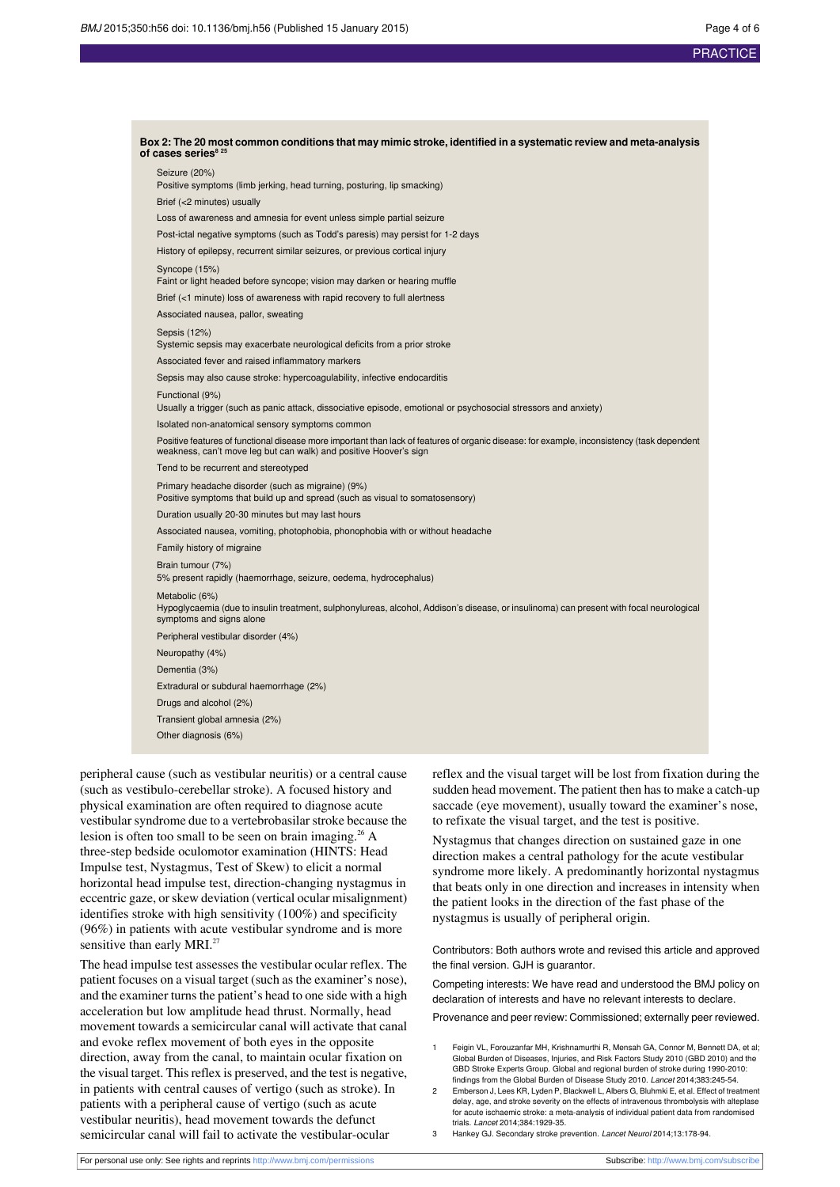**PRACTICE** 

| Box 2: The 20 most common conditions that may mimic stroke, identified in a systematic review and meta-analysis<br>of cases series <sup>8 25</sup>                                                               |
|------------------------------------------------------------------------------------------------------------------------------------------------------------------------------------------------------------------|
| Seizure (20%)<br>Positive symptoms (limb jerking, head turning, posturing, lip smacking)                                                                                                                         |
| Brief (<2 minutes) usually                                                                                                                                                                                       |
| Loss of awareness and amnesia for event unless simple partial seizure                                                                                                                                            |
| Post-ictal negative symptoms (such as Todd's paresis) may persist for 1-2 days                                                                                                                                   |
| History of epilepsy, recurrent similar seizures, or previous cortical injury                                                                                                                                     |
| Syncope (15%)<br>Faint or light headed before syncope; vision may darken or hearing muffle                                                                                                                       |
| Brief (<1 minute) loss of awareness with rapid recovery to full alertness                                                                                                                                        |
| Associated nausea, pallor, sweating                                                                                                                                                                              |
| Sepsis (12%)<br>Systemic sepsis may exacerbate neurological deficits from a prior stroke                                                                                                                         |
| Associated fever and raised inflammatory markers                                                                                                                                                                 |
| Sepsis may also cause stroke: hypercoagulability, infective endocarditis                                                                                                                                         |
| Functional (9%)<br>Usually a trigger (such as panic attack, dissociative episode, emotional or psychosocial stressors and anxiety)                                                                               |
| Isolated non-anatomical sensory symptoms common                                                                                                                                                                  |
| Positive features of functional disease more important than lack of features of organic disease: for example, inconsistency (task dependent<br>weakness, can't move leg but can walk) and positive Hoover's sign |
| Tend to be recurrent and stereotyped                                                                                                                                                                             |
| Primary headache disorder (such as migraine) (9%)<br>Positive symptoms that build up and spread (such as visual to somatosensory)                                                                                |
| Duration usually 20-30 minutes but may last hours                                                                                                                                                                |
| Associated nausea, vomiting, photophobia, phonophobia with or without headache                                                                                                                                   |
| Family history of migraine                                                                                                                                                                                       |
| Brain tumour (7%)<br>5% present rapidly (haemorrhage, seizure, oedema, hydrocephalus)                                                                                                                            |
| Metabolic (6%)<br>Hypoglycaemia (due to insulin treatment, sulphonylureas, alcohol, Addison's disease, or insulinoma) can present with focal neurological<br>symptoms and signs alone                            |
| Peripheral vestibular disorder (4%)                                                                                                                                                                              |
| Neuropathy (4%)                                                                                                                                                                                                  |
| Dementia (3%)                                                                                                                                                                                                    |
| Extradural or subdural haemorrhage (2%)                                                                                                                                                                          |
| Drugs and alcohol (2%)                                                                                                                                                                                           |
| Transient global amnesia (2%)                                                                                                                                                                                    |
| Other diagnosis (6%)                                                                                                                                                                                             |
|                                                                                                                                                                                                                  |

peripheral cause (such as vestibular neuritis) or a central cause (such as vestibulo-cerebellar stroke). A focused history and physical examination are often required to diagnose acute vestibular syndrome due to a vertebrobasilar stroke because the lesion is often too small to be seen on brain imaging.<sup>26</sup> A three-step bedside oculomotor examination (HINTS: Head Impulse test, Nystagmus, Test of Skew) to elicit a normal horizontal head impulse test, direction-changing nystagmus in eccentric gaze, or skew deviation (vertical ocular misalignment) identifies stroke with high sensitivity (100%) and specificity (96%) in patients with acute vestibular syndrome and is more sensitive than early MRI.<sup>27</sup>

The head impulse test assesses the vestibular ocular reflex. The patient focuses on a visual target (such as the examiner's nose), and the examiner turns the patient's head to one side with a high acceleration but low amplitude head thrust. Normally, head movement towards a semicircular canal will activate that canal and evoke reflex movement of both eyes in the opposite direction, away from the canal, to maintain ocular fixation on the visual target. This reflex is preserved, and the test is negative, in patients with central causes of vertigo (such as stroke). In patients with a peripheral cause of vertigo (such as acute vestibular neuritis), head movement towards the defunct semicircular canal will fail to activate the vestibular-ocular

reflex and the visual target will be lost from fixation during the sudden head movement. The patient then has to make a catch-up saccade (eye movement), usually toward the examiner's nose, to refixate the visual target, and the test is positive.

Nystagmus that changes direction on sustained gaze in one direction makes a central pathology for the acute vestibular syndrome more likely. A predominantly horizontal nystagmus that beats only in one direction and increases in intensity when the patient looks in the direction of the fast phase of the nystagmus is usually of peripheral origin.

Contributors: Both authors wrote and revised this article and approved the final version. GJH is guarantor.

Competing interests: We have read and understood the BMJ policy on declaration of interests and have no relevant interests to declare.

Provenance and peer review: Commissioned; externally peer reviewed.

- Feigin VL, Forouzanfar MH, Krishnamurthi R, Mensah GA, Connor M, Bennett DA, et al; Global Burden of Diseases, Injuries, and Risk Factors Study 2010 (GBD 2010) and the GBD Stroke Experts Group. Global and regional burden of stroke during 1990-2010: findings from the Global Burden of Disease Study 2010. Lancet 2014;383:245-54.
- 2 Emberson J, Lees KR, Lyden P, Blackwell L, Albers G, Bluhmki E, et al. Effect of treatment delay, age, and stroke severity on the effects of intravenous thrombolysis with alteplase for acute ischaemic stroke: a meta-analysis of individual patient data from randomised trials. Lancet 2014;384:1929-35.
- 3 Hankey GJ. Secondary stroke prevention. Lancet Neurol 2014;13:178-94.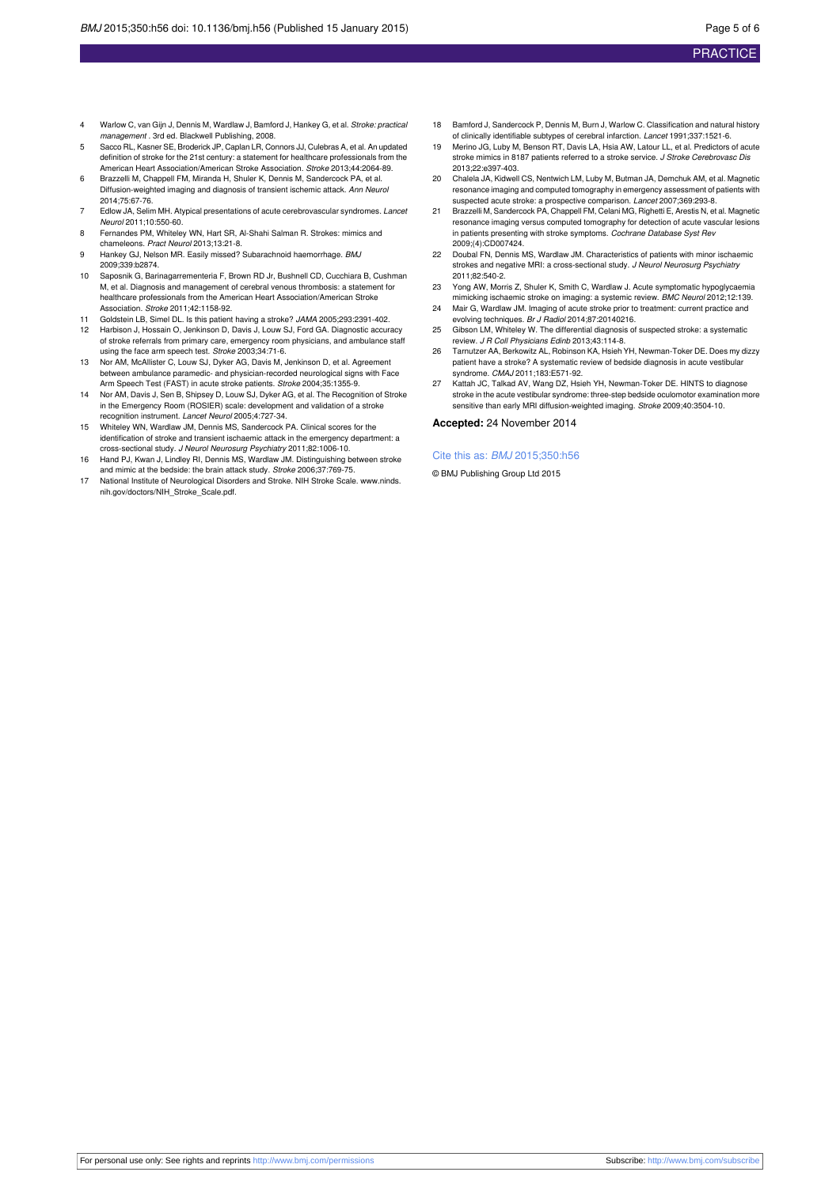- 4 Warlow C, van Gijn J, Dennis M, Wardlaw J, Bamford J, Hankey G, et al. Stroke: practical management . 3rd ed. Blackwell Publishing, 2008.
- 5 Sacco RL, Kasner SE, Broderick JP, Caplan LR, Connors JJ, Culebras A, et al. An updated definition of stroke for the 21st century: a statement for healthcare professionals from the American Heart Association/American Stroke Association. Stroke 2013;44:2064-89.
- 6 Brazzelli M, Chappell FM, Miranda H, Shuler K, Dennis M, Sandercock PA, et al. Diffusion-weighted imaging and diagnosis of transient ischemic attack. Ann Neurol 2014;75:67-76.
- 7 Edlow JA, Selim MH. Atypical presentations of acute cerebrovascular syndromes. Lancet Neurol 2011;10:550-60.
- 8 Fernandes PM, Whiteley WN, Hart SR, Al-Shahi Salman R. Strokes: mimics and chameleons. Pract Neurol 2013;13:21-8.
- 9 Hankey GJ, Nelson MR. Easily missed? Subarachnoid haemorrhage. BMJ 2009;339:b2874.
- 10 Saposnik G, Barinagarrementeria F, Brown RD Jr, Bushnell CD, Cucchiara B, Cushman M, et al. Diagnosis and management of cerebral venous thrombosis: a statement for healthcare professionals from the American Heart Association/American Stroke Association. Stroke 2011;42:1158-92.
- 11 Goldstein LB, Simel DL. Is this patient having a stroke? JAMA 2005;293:2391-402.<br>12 Harbison J. Hossain O. Jenkinson D. Davis J. Louw SJ. Ford GA. Diagnostic accura 12 Harbison J, Hossain O, Jenkinson D, Davis J, Louw SJ, Ford GA. Diagnostic accuracy
- of stroke referrals from primary care, emergency room physicians, and ambulance staff using the face arm speech test. Stroke 2003;34:71-6.
- 13 Nor AM, McAllister C, Louw SJ, Dyker AG, Davis M, Jenkinson D, et al. Agreement between ambulance paramedic- and physician-recorded neurological signs with Face Arm Speech Test (FAST) in acute stroke patients. Stroke 2004;35:1355-9.
- 14 Nor AM, Davis J, Sen B, Shipsey D, Louw SJ, Dyker AG, et al. The Recognition of Stroke in the Emergency Room (ROSIER) scale: development and validation of a stroke recognition instrument. Lancet Neurol 2005;4:727-34.
- 15 Whiteley WN, Wardlaw JM, Dennis MS, Sandercock PA. Clinical scores for the identification of stroke and transient ischaemic attack in the emergency department: a cross-sectional study. J Neurol Neurosurg Psychiatry 2011;82:1006-10.
- 16 Hand PJ, Kwan J, Lindley RI, Dennis MS, Wardlaw JM. Distinguishing between stroke and mimic at the bedside: the brain attack study. Stroke 2006;37:769-75.
- 17 National Institute of Neurological Disorders and Stroke. NIH Stroke Scale. [www.ninds.](http://www.ninds.nih.gov/doctors/NIH_Stroke_Scale.pdf) [nih.gov/doctors/NIH\\_Stroke\\_Scale.pdf](http://www.ninds.nih.gov/doctors/NIH_Stroke_Scale.pdf).
- 18 Bamford J, Sandercock P, Dennis M, Burn J, Warlow C. Classification and natural history of clinically identifiable subtypes of cerebral infarction. Lancet 1991;337:1521-6.
- 19 Merino JG, Luby M, Benson RT, Davis LA, Hsia AW, Latour LL, et al. Predictors of acute stroke mimics in 8187 patients referred to a stroke service. J Stroke Cerebrovasc Dis 2013;22:e397-403.
- 20 Chalela JA, Kidwell CS, Nentwich LM, Luby M, Butman JA, Demchuk AM, et al. Magnetic resonance imaging and computed tomography in emergency assessment of patients with suspected acute stroke: a prospective comparison. Lancet 2007;369:293-8.
- 21 Brazzelli M, Sandercock PA, Chappell FM, Celani MG, Righetti E, Arestis N, et al. Magnetic resonance imaging versus computed tomography for detection of acute vascular lesions in patients presenting with stroke symptoms. Cochrane Database Syst Rev 2009;(4):CD007424.
- 22 Doubal FN, Dennis MS, Wardlaw JM. Characteristics of patients with minor ischaemic strokes and negative MRI: a cross-sectional study. J Neurol Neurosurg Psychiatry 2011;82:540-2.
- 23 Yong AW, Morris Z, Shuler K, Smith C, Wardlaw J. Acute symptomatic hypoglycaemia mimicking ischaemic stroke on imaging: a systemic review. BMC Neurol 2012;12:139.
- 24 Mair G, Wardlaw JM. Imaging of acute stroke prior to treatment: current practice and evolving techniques. Br J Radiol 2014;87:20140216.
- 25 Gibson LM, Whiteley W. The differential diagnosis of suspected stroke: a systematic review. J R Coll Physicians Edinb 2013;43:114-8.
- 26 Tarnutzer AA, Berkowitz AL, Robinson KA, Hsieh YH, Newman-Toker DE. Does my dizzy patient have a stroke? A systematic review of bedside diagnosis in acute vestibular syndrome. CMAJ 2011;183:E571-92.
- 27 Kattah JC, Talkad AV, Wang DZ, Hsieh YH, Newman-Toker DE. HINTS to diagnose stroke in the acute vestibular syndrome: three-step bedside oculomotor examination more sensitive than early MRI diffusion-weighted imaging. Stroke 2009;40:3504-10.

**Accepted:** 24 November 2014

#### Cite this as: BMJ 2015;350:h56

© BMJ Publishing Group Ltd 2015